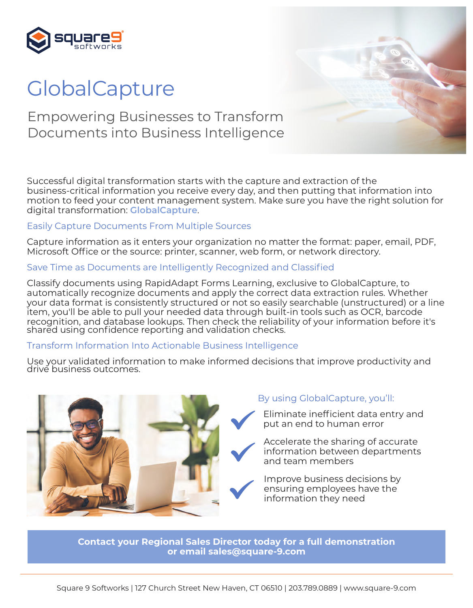

# **GlobalCapture**

### Empowering Businesses to Transform Documents into Business Intelligence

Successful digital transformation starts with the capture and extraction of the business-critical information you receive every day, and then putting that information into motion to feed your content management system. Make sure you have the right solution for digital transformation: **GlobalCapture**.

### Easily Capture Documents From Multiple Sources

Capture information as it enters your organization no matter the format: paper, email, PDF, Microsoft Office or the source: printer, scanner, web form, or network directory.

### Save Time as Documents are Intelligently Recognized and Classified

Classify documents using RapidAdapt Forms Learning, exclusive to GlobalCapture, to automatically recognize documents and apply the correct data extraction rules. Whether your data format is consistently structured or not so easily searchable (unstructured) or a line item, you'll be able to pull your needed data through built-in tools such as OCR, barcode recognition, and database lookups. Then check the reliability of your information before it's shared using confidence reporting and validation checks.

### Transform Information Into Actionable Business Intelligence

Use your validated information to make informed decisions that improve productivity and drive business outcomes.



### By using GlobalCapture, you'll:

Eliminate inefficient data entry and put an end to human error

Accelerate the sharing of accurate information between departments and team members

Improve business decisions by ensuring employees have the information they need

**Contact your Regional Sales Director today for a full demonstration or email [sales@square-9.com](mailto:sales@square-9.com)**